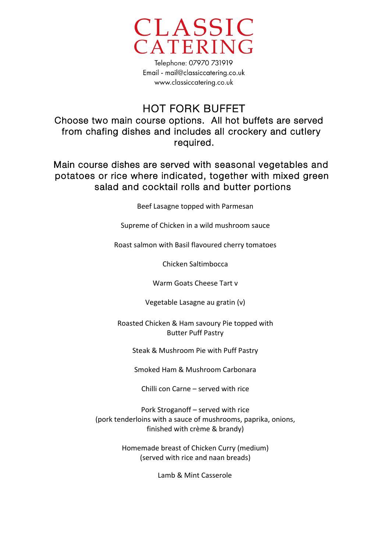

Telephone: 07970 731919 Email - mail@classiccatering.co.uk www.classiccatering.co.uk

## HOT FORK BUFFET

Choose two main course options. All hot buffets are served from chafing dishes and includes all crockery and cutlery required.

Main course dishes are served with seasonal vegetables and potatoes or rice where indicated, together with mixed green salad and cocktail rolls and butter portions

Beef Lasagne topped with Parmesan

Supreme of Chicken in a wild mushroom sauce

Roast salmon with Basil flavoured cherry tomatoes

Chicken Saltimbocca

Warm Goats Cheese Tart v

Vegetable Lasagne au gratin (v)

Roasted Chicken & Ham savoury Pie topped with **Butter Puff Pastry** 

Steak & Mushroom Pie with Puff Pastry

Smoked Ham & Mushroom Carbonara

Chilli con Carne – served with rice

Pork Stroganoff – served with rice (pork tenderloins with a sauce of mushrooms, paprika, onions, finished with crème & brandy)

> Homemade breast of Chicken Curry (medium) (served with rice and naan breads)

> > Lamb & Mint Casserole